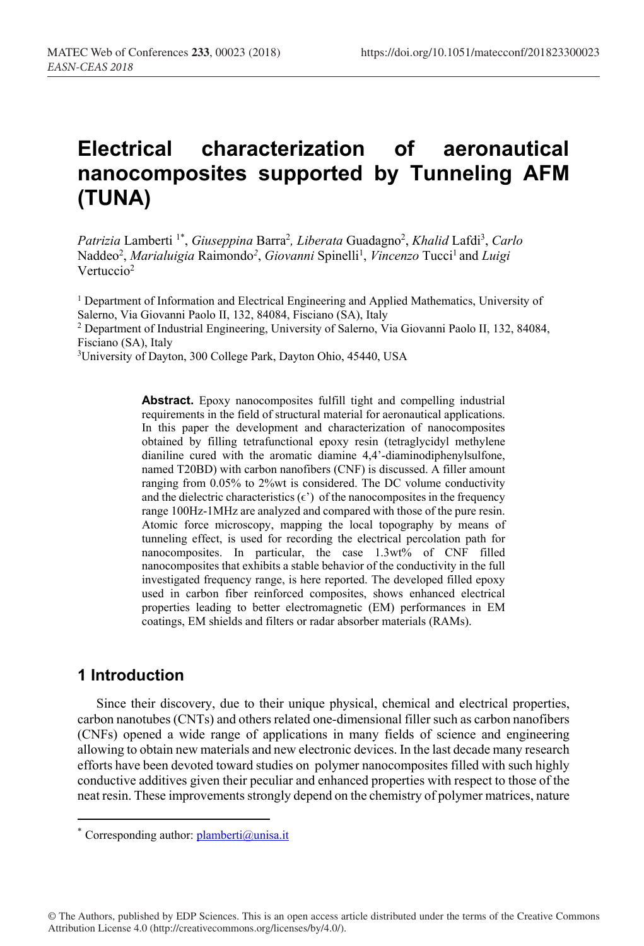# **Electrical characterization of aeronautical nanocomposites supported by Tunneling AFM (TUNA)**

Patrizia Lamberti<sup>1\*</sup>, Giuseppina Barra<sup>2</sup>, Liberata Guadagno<sup>2</sup>, Khalid Lafdi<sup>3</sup>, Carlo Naddeo<sup>2</sup>, *Marialuigia* Raimondo<sup>2</sup>, *Giovanni* Spinelli<sup>1</sup>, *Vincenzo* Tucci<sup>1</sup> and *Luigi* Vertuccio<sup>2</sup>

<sup>1</sup> Department of Information and Electrical Engineering and Applied Mathematics, University of Salerno, Via Giovanni Paolo II, 132, 84084, Fisciano (SA), Italy <sup>2</sup> Department of Industrial Engineering, University of Salerno, Via Giovanni Paolo II, 132, 84084, Fisciano (SA), Italy

3University of Dayton, 300 College Park, Dayton Ohio, 45440, USA

**Abstract.** Epoxy nanocomposites fulfill tight and compelling industrial requirements in the field of structural material for aeronautical applications. In this paper the development and characterization of nanocomposites obtained by filling tetrafunctional epoxy resin (tetraglycidyl methylene dianiline cured with the aromatic diamine 4,4'-diaminodiphenylsulfone, named T20BD) with carbon nanofibers (CNF) is discussed. A filler amount ranging from 0.05% to 2%wt is considered. The DC volume conductivity and the dielectric characteristics  $(\epsilon')$  of the nanocomposites in the frequency range 100Hz-1MHz are analyzed and compared with those of the pure resin. Atomic force microscopy, mapping the local topography by means of tunneling effect, is used for recording the electrical percolation path for nanocomposites. In particular, the case 1.3wt% of CNF filled nanocomposites that exhibits a stable behavior of the conductivity in the full investigated frequency range, is here reported. The developed filled epoxy used in carbon fiber reinforced composites, shows enhanced electrical properties leading to better electromagnetic (EM) performances in EM coatings, EM shields and filters or radar absorber materials (RAMs).

# **1 Introduction**

<u>.</u>

Since their discovery, due to their unique physical, chemical and electrical properties, carbon nanotubes (CNTs) and others related one-dimensional filler such as carbon nanofibers (CNFs) opened a wide range of applications in many fields of science and engineering allowing to obtain new materials and new electronic devices. In the last decade many research efforts have been devoted toward studies on polymer nanocomposites filled with such highly conductive additives given their peculiar and enhanced properties with respect to those of the neat resin. These improvements strongly depend on the chemistry of polymer matrices, nature

© The Authors, published by EDP Sciences. This is an open access article distributed under the terms of the Creative Commons Attribution License 4.0 (http://creativecommons.org/licenses/by/4.0/).

<sup>\*</sup> Corresponding author:  $planberti@unisa.it$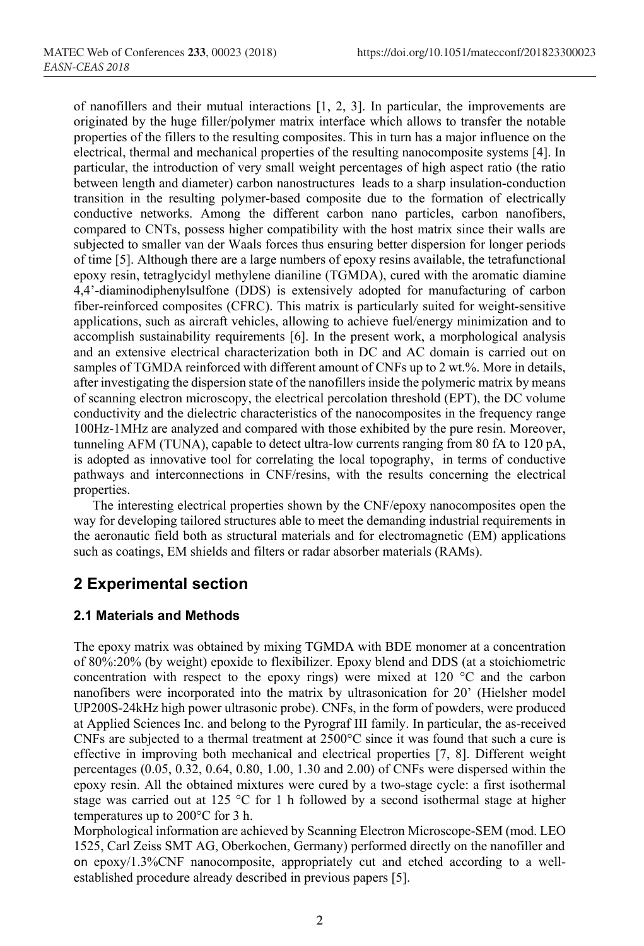of nanofillers and their mutual interactions [1, 2, 3]. In particular, the improvements are originated by the huge filler/polymer matrix interface which allows to transfer the notable properties of the fillers to the resulting composites. This in turn has a major influence on the electrical, thermal and mechanical properties of the resulting nanocomposite systems [4]. In particular, the introduction of very small weight percentages of high aspect ratio (the ratio between length and diameter) carbon nanostructures leads to a sharp insulation-conduction transition in the resulting polymer-based composite due to the formation of electrically conductive networks. Among the different carbon nano particles, carbon nanofibers, compared to CNTs, possess higher compatibility with the host matrix since their walls are subjected to smaller van der Waals forces thus ensuring better dispersion for longer periods of time [5]. Although there are a large numbers of epoxy resins available, the tetrafunctional epoxy resin, tetraglycidyl methylene dianiline (TGMDA), cured with the aromatic diamine 4,4'-diaminodiphenylsulfone (DDS) is extensively adopted for manufacturing of carbon fiber-reinforced composites (CFRC). This matrix is particularly suited for weight-sensitive applications, such as aircraft vehicles, allowing to achieve fuel/energy minimization and to accomplish sustainability requirements [6]. In the present work, a morphological analysis and an extensive electrical characterization both in DC and AC domain is carried out on samples of TGMDA reinforced with different amount of CNFs up to 2 wt.%. More in details, after investigating the dispersion state of the nanofillers inside the polymeric matrix by means of scanning electron microscopy, the electrical percolation threshold (EPT), the DC volume conductivity and the dielectric characteristics of the nanocomposites in the frequency range 100Hz-1MHz are analyzed and compared with those exhibited by the pure resin. Moreover, tunneling AFM (TUNA), capable to detect ultra-low currents ranging from 80 fA to 120 pA, is adopted as innovative tool for correlating the local topography, in terms of conductive pathways and interconnections in CNF/resins, with the results concerning the electrical properties.

The interesting electrical properties shown by the CNF/epoxy nanocomposites open the way for developing tailored structures able to meet the demanding industrial requirements in the aeronautic field both as structural materials and for electromagnetic (EM) applications such as coatings, EM shields and filters or radar absorber materials (RAMs).

### **2 Experimental section**

#### **2.1 Materials and Methods**

The epoxy matrix was obtained by mixing TGMDA with BDE monomer at a concentration of 80%:20% (by weight) epoxide to flexibilizer. Epoxy blend and DDS (at a stoichiometric concentration with respect to the epoxy rings) were mixed at 120  $\degree$ C and the carbon nanofibers were incorporated into the matrix by ultrasonication for 20' (Hielsher model UP200S-24kHz high power ultrasonic probe). CNFs, in the form of powders, were produced at Applied Sciences Inc. and belong to the Pyrograf III family. In particular, the as-received CNFs are subjected to a thermal treatment at 2500°C since it was found that such a cure is effective in improving both mechanical and electrical properties [7, 8]. Different weight percentages (0.05, 0.32, 0.64, 0.80, 1.00, 1.30 and 2.00) of CNFs were dispersed within the epoxy resin. All the obtained mixtures were cured by a two-stage cycle: a first isothermal stage was carried out at 125 °C for 1 h followed by a second isothermal stage at higher temperatures up to 200°C for 3 h.

Morphological information are achieved by Scanning Electron Microscope-SEM (mod. LEO 1525, Carl Zeiss SMT AG, Oberkochen, Germany) performed directly on the nanofiller and on epoxy/1.3%CNF nanocomposite, appropriately cut and etched according to a wellestablished procedure already described in previous papers [5].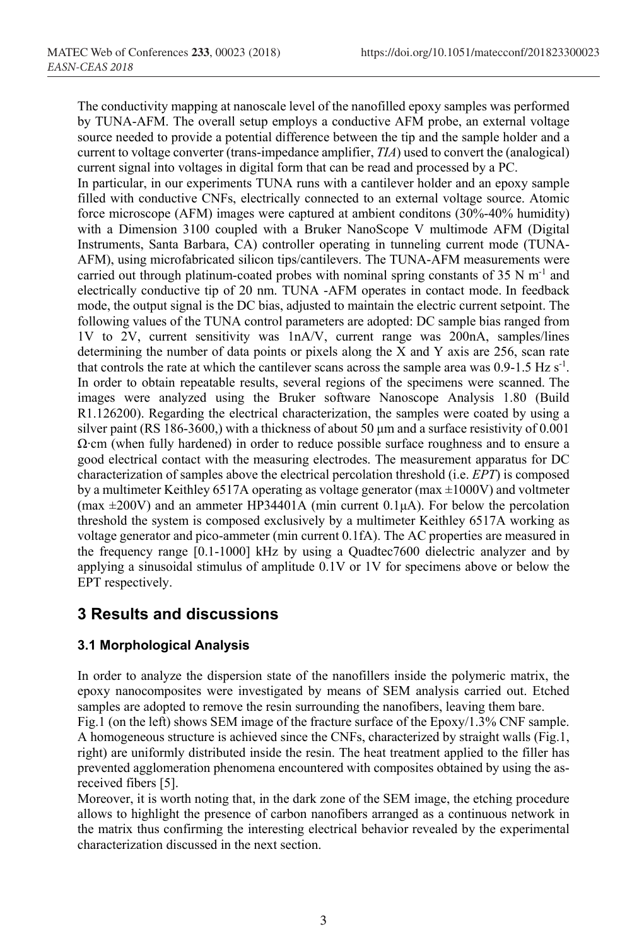The conductivity mapping at nanoscale level of the nanofilled epoxy samples was performed by TUNA-AFM. The overall setup employs a conductive AFM probe, an external voltage source needed to provide a potential difference between the tip and the sample holder and a current to voltage converter (trans-impedance amplifier, *TIA*) used to convert the (analogical) current signal into voltages in digital form that can be read and processed by a PC.

In particular, in our experiments TUNA runs with a cantilever holder and an epoxy sample filled with conductive CNFs, electrically connected to an external voltage source. Atomic force microscope (AFM) images were captured at ambient conditons (30%-40% humidity) with a Dimension 3100 coupled with a Bruker NanoScope V multimode AFM (Digital Instruments, Santa Barbara, CA) controller operating in tunneling current mode (TUNA-AFM), using microfabricated silicon tips/cantilevers. The TUNA-AFM measurements were carried out through platinum-coated probes with nominal spring constants of 35 N  $m^{-1}$  and electrically conductive tip of 20 nm. TUNA -AFM operates in contact mode. In feedback mode, the output signal is the DC bias, adjusted to maintain the electric current setpoint. The following values of the TUNA control parameters are adopted: DC sample bias ranged from 1V to 2V, current sensitivity was 1nA/V, current range was 200nA, samples/lines determining the number of data points or pixels along the X and Y axis are 256, scan rate that controls the rate at which the cantilever scans across the sample area was  $0.9-1.5$  Hz s<sup>-1</sup>. In order to obtain repeatable results, several regions of the specimens were scanned. The images were analyzed using the Bruker software Nanoscope Analysis 1.80 (Build R1.126200). Regarding the electrical characterization, the samples were coated by using a silver paint (RS 186-3600,) with a thickness of about 50  $\mu$ m and a surface resistivity of 0.001 Ω∙cm (when fully hardened) in order to reduce possible surface roughness and to ensure a good electrical contact with the measuring electrodes. The measurement apparatus for DC characterization of samples above the electrical percolation threshold (i.e. *EPT*) is composed by a multimeter Keithley 6517A operating as voltage generator (max  $\pm 1000V$ ) and voltmeter (max  $\pm 200V$ ) and an ammeter HP34401A (min current 0.1 $\mu$ A). For below the percolation threshold the system is composed exclusively by a multimeter Keithley 6517A working as voltage generator and pico-ammeter (min current 0.1fA). The AC properties are measured in the frequency range [0.1-1000] kHz by using a Quadtec7600 dielectric analyzer and by applying a sinusoidal stimulus of amplitude 0.1V or 1V for specimens above or below the EPT respectively.

# **3 Results and discussions**

### **3.1 Morphological Analysis**

In order to analyze the dispersion state of the nanofillers inside the polymeric matrix, the epoxy nanocomposites were investigated by means of SEM analysis carried out. Etched samples are adopted to remove the resin surrounding the nanofibers, leaving them bare.

Fig.1 (on the left) shows SEM image of the fracture surface of the Epoxy/1.3% CNF sample. A homogeneous structure is achieved since the CNFs, characterized by straight walls (Fig.1, right) are uniformly distributed inside the resin. The heat treatment applied to the filler has prevented agglomeration phenomena encountered with composites obtained by using the asreceived fibers [5].

Moreover, it is worth noting that, in the dark zone of the SEM image, the etching procedure allows to highlight the presence of carbon nanofibers arranged as a continuous network in the matrix thus confirming the interesting electrical behavior revealed by the experimental characterization discussed in the next section.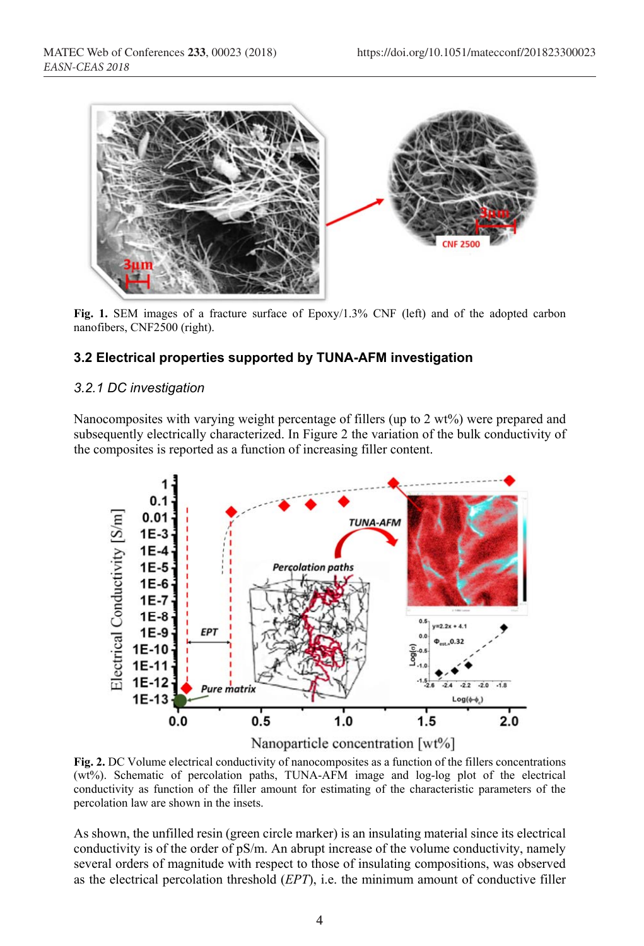

**Fig. 1.** SEM images of a fracture surface of Epoxy/1.3% CNF (left) and of the adopted carbon nanofibers, CNF2500 (right).

#### **3.2 Electrical properties supported by TUNA-AFM investigation**

#### *3.2.1 DC investigation*

Nanocomposites with varying weight percentage of fillers (up to 2 wt%) were prepared and subsequently electrically characterized. In Figure 2 the variation of the bulk conductivity of the composites is reported as a function of increasing filler content.



**Fig. 2.** DC Volume electrical conductivity of nanocomposites as a function of the fillers concentrations (wt%). Schematic of percolation paths, TUNA-AFM image and log-log plot of the electrical conductivity as function of the filler amount for estimating of the characteristic parameters of the percolation law are shown in the insets.

As shown, the unfilled resin (green circle marker) is an insulating material since its electrical conductivity is of the order of pS/m. An abrupt increase of the volume conductivity, namely several orders of magnitude with respect to those of insulating compositions, was observed as the electrical percolation threshold (*EPT*), i.e. the minimum amount of conductive filler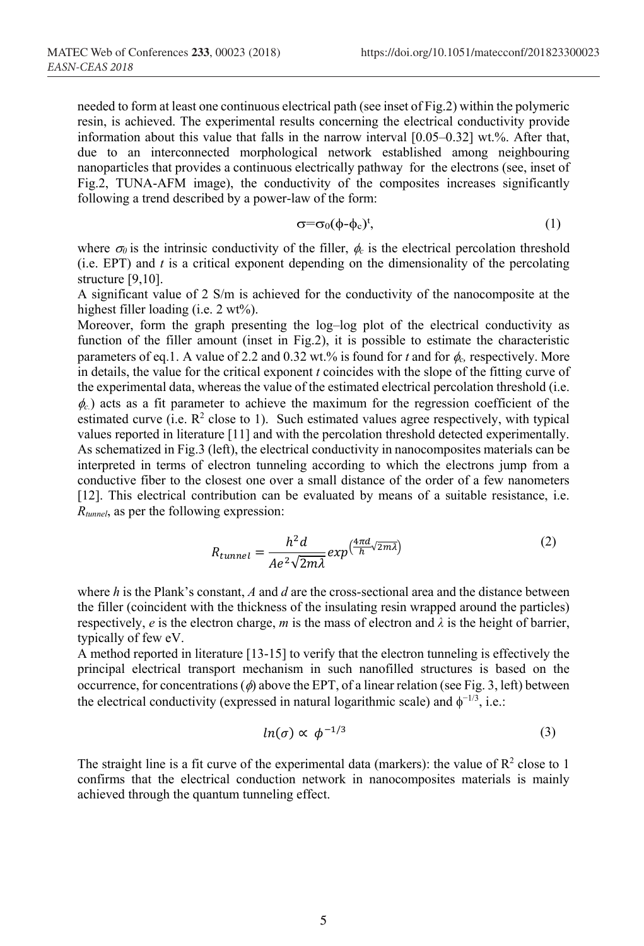needed to form at least one continuous electrical path (see inset of Fig.2) within the polymeric resin, is achieved. The experimental results concerning the electrical conductivity provide information about this value that falls in the narrow interval [0.05–0.32] wt.%. After that, due to an interconnected morphological network established among neighbouring nanoparticles that provides a continuous electrically pathway for the electrons (see, inset of Fig.2, TUNA-AFM image), the conductivity of the composites increases significantly following a trend described by a power-law of the form:

$$
\sigma = \sigma_0 (\phi - \phi_c)^t, \tag{1}
$$

where  $\sigma_0$  is the intrinsic conductivity of the filler,  $\phi_c$  is the electrical percolation threshold (i.e. EPT) and *t* is a critical exponent depending on the dimensionality of the percolating structure [9,10].

A significant value of 2 S/m is achieved for the conductivity of the nanocomposite at the highest filler loading (i.e. 2 wt%).

Moreover, form the graph presenting the log–log plot of the electrical conductivity as function of the filler amount (inset in Fig.2), it is possible to estimate the characteristic parameters of eq.1. A value of 2.2 and 0.32 wt.% is found for  $t$  and for  $\phi_c$ , respectively. More in details, the value for the critical exponent *t* coincides with the slope of the fitting curve of the experimental data, whereas the value of the estimated electrical percolation threshold (i.e.  $\phi_c$ ) acts as a fit parameter to achieve the maximum for the regression coefficient of the estimated curve (i.e.  $\mathbb{R}^2$  close to 1). Such estimated values agree respectively, with typical values reported in literature [11] and with the percolation threshold detected experimentally. As schematized in Fig.3 (left), the electrical conductivity in nanocomposites materials can be interpreted in terms of electron tunneling according to which the electrons jump from a conductive fiber to the closest one over a small distance of the order of a few nanometers [12]. This electrical contribution can be evaluated by means of a suitable resistance, i.e. *Rtunnel*, as per the following expression:

$$
R_{tunnel} = \frac{h^2 d}{A e^2 \sqrt{2m\lambda}} exp(\frac{4\pi d}{h} \sqrt{2m\lambda})
$$
 (2)

where *h* is the Plank's constant, *A* and *d* are the cross-sectional area and the distance between the filler (coincident with the thickness of the insulating resin wrapped around the particles) respectively, *e* is the electron charge, *m* is the mass of electron and  $\lambda$  is the height of barrier, typically of few eV.

A method reported in literature [13-15] to verify that the electron tunneling is effectively the principal electrical transport mechanism in such nanofilled structures is based on the occurrence, for concentrations ( $\phi$ ) above the EPT, of a linear relation (see Fig. 3, left) between the electrical conductivity (expressed in natural logarithmic scale) and  $\phi^{-1/3}$ , i.e.:

$$
ln(\sigma) \propto \phi^{-1/3} \tag{3}
$$

The straight line is a fit curve of the experimental data (markers): the value of  $R^2$  close to 1 confirms that the electrical conduction network in nanocomposites materials is mainly achieved through the quantum tunneling effect.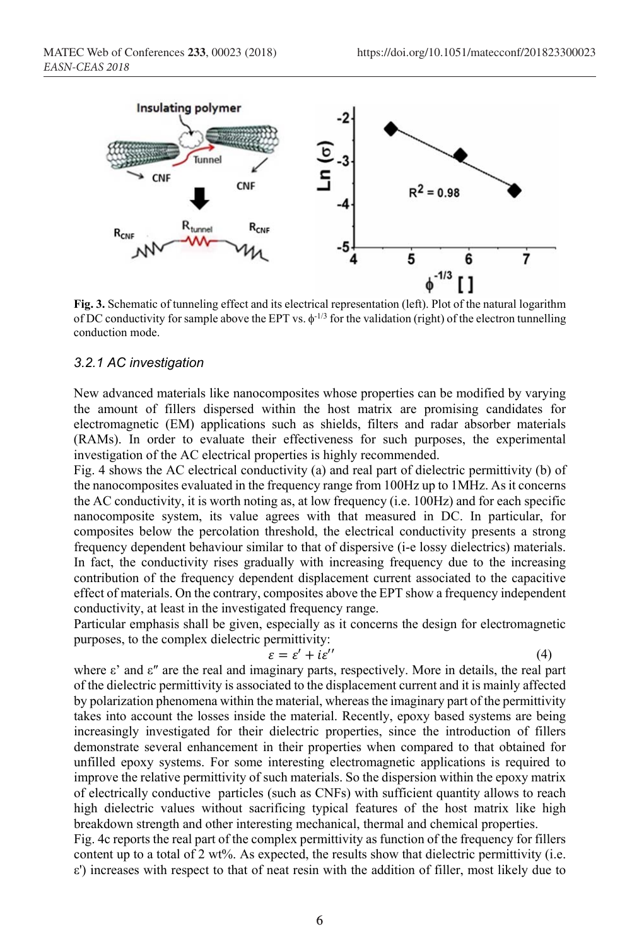

**Fig. 3.** Schematic of tunneling effect and its electrical representation (left). Plot of the natural logarithm of DC conductivity for sample above the EPT vs.  $\phi$ <sup>-1/3</sup> for the validation (right) of the electron tunnelling conduction mode.

#### *3.2.1 AC investigation*

New advanced materials like nanocomposites whose properties can be modified by varying the amount of fillers dispersed within the host matrix are promising candidates for electromagnetic (EM) applications such as shields, filters and radar absorber materials (RAMs). In order to evaluate their effectiveness for such purposes, the experimental investigation of the AC electrical properties is highly recommended.

Fig. 4 shows the AC electrical conductivity (a) and real part of dielectric permittivity (b) of the nanocomposites evaluated in the frequency range from 100Hz up to 1MHz. As it concerns the AC conductivity, it is worth noting as, at low frequency (i.e. 100Hz) and for each specific nanocomposite system, its value agrees with that measured in DC. In particular, for composites below the percolation threshold, the electrical conductivity presents a strong frequency dependent behaviour similar to that of dispersive (i-e lossy dielectrics) materials. In fact, the conductivity rises gradually with increasing frequency due to the increasing contribution of the frequency dependent displacement current associated to the capacitive effect of materials. On the contrary, composites above the EPT show a frequency independent conductivity, at least in the investigated frequency range.

Particular emphasis shall be given, especially as it concerns the design for electromagnetic purposes, to the complex dielectric permittivity:

$$
\varepsilon = \varepsilon' + i\varepsilon'' \tag{4}
$$

where ε' and ε″ are the real and imaginary parts, respectively. More in details, the real part of the dielectric permittivity is associated to the displacement current and it is mainly affected by polarization phenomena within the material, whereas the imaginary part of the permittivity takes into account the losses inside the material. Recently, epoxy based systems are being increasingly investigated for their dielectric properties, since the introduction of fillers demonstrate several enhancement in their properties when compared to that obtained for unfilled epoxy systems. For some interesting electromagnetic applications is required to improve the relative permittivity of such materials. So the dispersion within the epoxy matrix of electrically conductive particles (such as CNFs) with sufficient quantity allows to reach high dielectric values without sacrificing typical features of the host matrix like high breakdown strength and other interesting mechanical, thermal and chemical properties.

Fig. 4c reports the real part of the complex permittivity as function of the frequency for fillers content up to a total of 2 wt%. As expected, the results show that dielectric permittivity (i.e. ε') increases with respect to that of neat resin with the addition of filler, most likely due to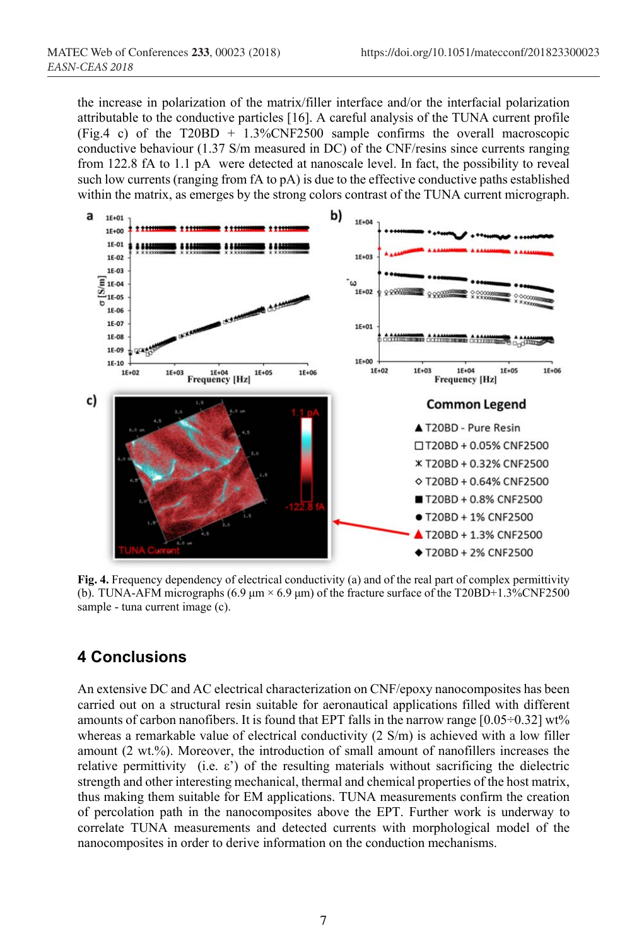the increase in polarization of the matrix/filler interface and/or the interfacial polarization attributable to the conductive particles [16]. A careful analysis of the TUNA current profile (Fig.4 c) of the T20BD + 1.3%CNF2500 sample confirms the overall macroscopic conductive behaviour (1.37 S/m measured in DC) of the CNF/resins since currents ranging from 122.8 fA to 1.1 pA were detected at nanoscale level. In fact, the possibility to reveal such low currents (ranging from fA to pA) is due to the effective conductive paths established within the matrix, as emerges by the strong colors contrast of the TUNA current micrograph.



**Fig. 4.** Frequency dependency of electrical conductivity (a) and of the real part of complex permittivity (b). TUNA-AFM micrographs (6.9  $\mu$ m × 6.9  $\mu$ m) of the fracture surface of the T20BD+1.3%CNF2500 sample - tuna current image (c).

# **4 Conclusions**

An extensive DC and AC electrical characterization on CNF/epoxy nanocomposites has been carried out on a structural resin suitable for aeronautical applications filled with different amounts of carbon nanofibers. It is found that EPT falls in the narrow range  $[0.05\div0.32]$  wt% whereas a remarkable value of electrical conductivity (2 S/m) is achieved with a low filler amount (2 wt.%). Moreover, the introduction of small amount of nanofillers increases the relative permittivity (i.e.  $\varepsilon$ ) of the resulting materials without sacrificing the dielectric strength and other interesting mechanical, thermal and chemical properties of the host matrix, thus making them suitable for EM applications. TUNA measurements confirm the creation of percolation path in the nanocomposites above the EPT. Further work is underway to correlate TUNA measurements and detected currents with morphological model of the nanocomposites in order to derive information on the conduction mechanisms.